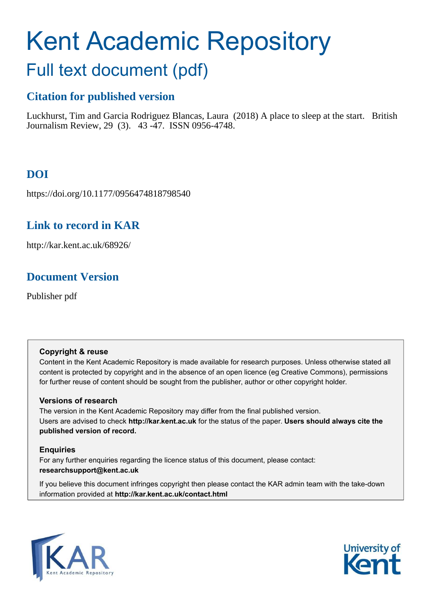# Kent Academic Repository

## Full text document (pdf)

## **Citation for published version**

Luckhurst, Tim and Garcia Rodriguez Blancas, Laura (2018) A place to sleep at the start. British Journalism Review, 29 (3). 43 -47. ISSN 0956-4748.

## **DOI**

https://doi.org/10.1177/0956474818798540

### **Link to record in KAR**

http://kar.kent.ac.uk/68926/

### **Document Version**

Publisher pdf

#### **Copyright & reuse**

Content in the Kent Academic Repository is made available for research purposes. Unless otherwise stated all content is protected by copyright and in the absence of an open licence (eg Creative Commons), permissions for further reuse of content should be sought from the publisher, author or other copyright holder.

#### **Versions of research**

The version in the Kent Academic Repository may differ from the final published version. Users are advised to check **http://kar.kent.ac.uk** for the status of the paper. **Users should always cite the published version of record.**

#### **Enquiries**

For any further enquiries regarding the licence status of this document, please contact: **researchsupport@kent.ac.uk**

If you believe this document infringes copyright then please contact the KAR admin team with the take-down information provided at **http://kar.kent.ac.uk/contact.html**



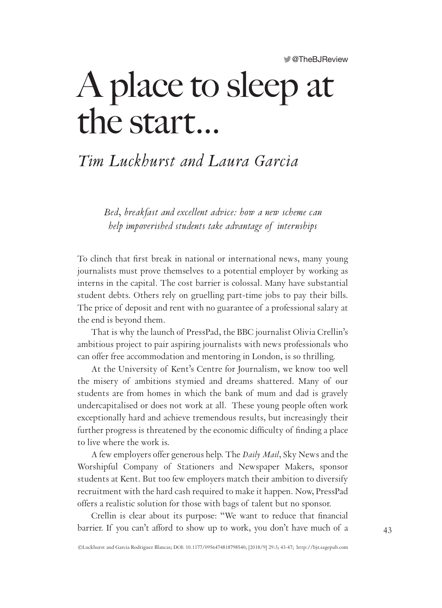# A place to sleep at the start…

## *Tim Luckhurst and Laura Garcia*

*Bed, breakfast and excellent advice: how a new scheme can help impoverished students take advantage of internships*

To clinch that first break in national or international news, many young journalists must prove themselves to a potential employer by working as interns in the capital. The cost barrier is colossal. Many have substantial student debts. Others rely on gruelling part-time jobs to pay their bills. The price of deposit and rent with no guarantee of a professional salary at the end is beyond them.

That is why the launch of PressPad, the BBC journalist Olivia Crellin's ambitious project to pair aspiring journalists with news professionals who can offer free accommodation and mentoring in London, is so thrilling.

At the University of Kent's Centre for Journalism, we know too well the misery of ambitions stymied and dreams shattered. Many of our students are from homes in which the bank of mum and dad is gravely undercapitalised or does not work at all. These young people often work exceptionally hard and achieve tremendous results, but increasingly their further progress is threatened by the economic difficulty of finding a place to live where the work is.

A few employers offer generous help. The *Daily Mail*, Sky News and the Worshipful Company of Stationers and Newspaper Makers, sponsor students at Kent. But too few employers match their ambition to diversify recruitment with the hard cash required to make it happen. Now, PressPad offers a realistic solution for those with bags of talent but no sponsor.

Crellin is clear about its purpose: "We want to reduce that financial barrier. If you can't afford to show up to work, you don't have much of a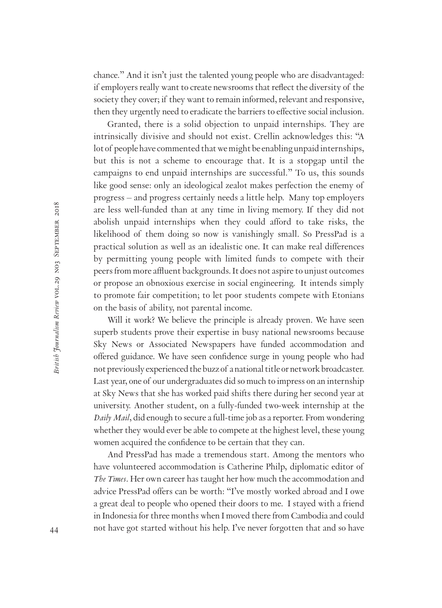chance." And it isn't just the talented young people who are disadvantaged: if employers really want to create newsrooms that reflect the diversity of the society they cover; if they want to remain informed, relevant and responsive, then they urgently need to eradicate the barriers to effective social inclusion.

Granted, there is a solid objection to unpaid internships. They are intrinsically divisive and should not exist. Crellin acknowledges this: "A lot of people have commented that we might be enabling unpaid internships, but this is not a scheme to encourage that. It is a stopgap until the campaigns to end unpaid internships are successful." To us, this sounds like good sense: only an ideological zealot makes perfection the enemy of progress – and progress certainly needs a little help. Many top employers are less well-funded than at any time in living memory. If they did not abolish unpaid internships when they could afford to take risks, the likelihood of them doing so now is vanishingly small. So PressPad is a practical solution as well as an idealistic one. It can make real differences by permitting young people with limited funds to compete with their peers from more affluent backgrounds. It does not aspire to unjust outcomes or propose an obnoxious exercise in social engineering. It intends simply to promote fair competition; to let poor students compete with Etonians on the basis of ability, not parental income.

Will it work? We believe the principle is already proven. We have seen superb students prove their expertise in busy national newsrooms because Sky News or Associated Newspapers have funded accommodation and offered guidance. We have seen confidence surge in young people who had not previously experienced the buzz of a national title or network broadcaster. Last year, one of our undergraduates did so much to impress on an internship at Sky News that she has worked paid shifts there during her second year at university. Another student, on a fully-funded two-week internship at the *Daily Mail*, did enough to secure a full-time job as a reporter. From wondering whether they would ever be able to compete at the highest level, these young women acquired the confidence to be certain that they can.

And PressPad has made a tremendous start. Among the mentors who have volunteered accommodation is Catherine Philp, diplomatic editor of *The Times*. Her own career has taught her how much the accommodation and advice PressPad offers can be worth: "I've mostly worked abroad and I owe a great deal to people who opened their doors to me. I stayed with a friend in Indonesia for three months when I moved there from Cambodia and could not have got started without his help. I've never forgotten that and so have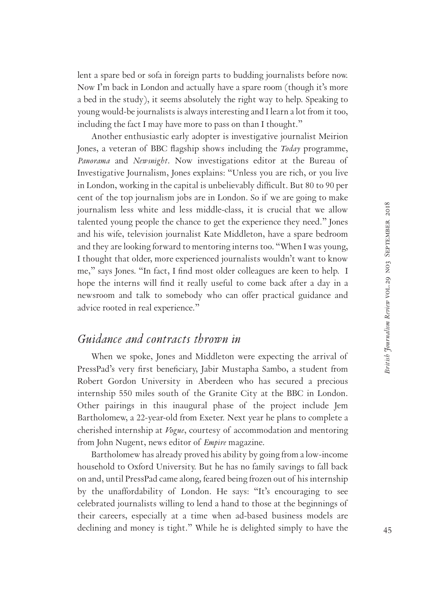lent a spare bed or sofa in foreign parts to budding journalists before now. Now I'm back in London and actually have a spare room (though it's more a bed in the study), it seems absolutely the right way to help. Speaking to young would-be journalists is always interesting and I learn a lot from it too, including the fact I may have more to pass on than I thought."

Another enthusiastic early adopter is investigative journalist Meirion Jones, a veteran of BBC flagship shows including the *Today* programme, *Panorama* and *Newsnight*. Now investigations editor at the Bureau of Investigative Journalism, Jones explains: "Unless you are rich, or you live in London, working in the capital is unbelievably difficult. But 80 to 90 per cent of the top journalism jobs are in London. So if we are going to make journalism less white and less middle-class, it is crucial that we allow talented young people the chance to get the experience they need." Jones and his wife, television journalist Kate Middleton, have a spare bedroom and they are looking forward to mentoring interns too. "When I was young, I thought that older, more experienced journalists wouldn't want to know me," says Jones. "In fact, I find most older colleagues are keen to help. I hope the interns will find it really useful to come back after a day in a newsroom and talk to somebody who can offer practical guidance and advice rooted in real experience."

#### *Guidance and contracts thrown in*

When we spoke, Jones and Middleton were expecting the arrival of PressPad's very first beneficiary, Jabir Mustapha Sambo, a student from Robert Gordon University in Aberdeen who has secured a precious internship 550 miles south of the Granite City at the BBC in London. Other pairings in this inaugural phase of the project include Jem Bartholomew, a 22-year-old from Exeter. Next year he plans to complete a cherished internship at *Vogue*, courtesy of accommodation and mentoring from John Nugent, news editor of *Empire* magazine.

Bartholomew has already proved his ability by going from a low-income household to Oxford University. But he has no family savings to fall back on and, until PressPad came along, feared being frozen out of his internship by the unaffordability of London. He says: "It's encouraging to see celebrated journalists willing to lend a hand to those at the beginnings of their careers, especially at a time when ad-based business models are declining and money is tight." While he is delighted simply to have the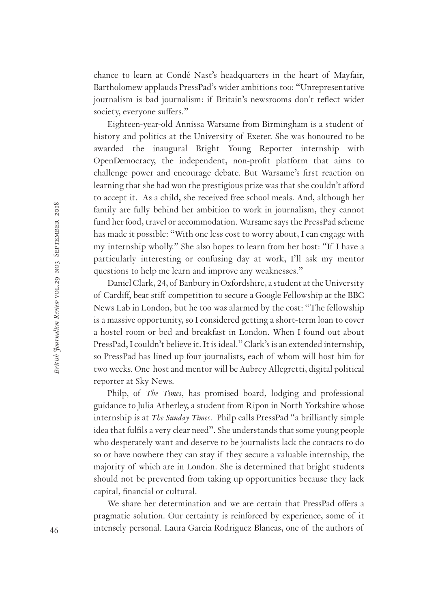chance to learn at Condé Nast's headquarters in the heart of Mayfair, Bartholomew applauds PressPad's wider ambitions too: "Unrepresentative journalism is bad journalism: if Britain's newsrooms don't reflect wider society, everyone suffers."

Eighteen-year-old Annissa Warsame from Birmingham is a student of history and politics at the University of Exeter. She was honoured to be awarded the inaugural Bright Young Reporter internship with OpenDemocracy, the independent, non-profit platform that aims to challenge power and encourage debate. But Warsame's first reaction on learning that she had won the prestigious prize was that she couldn't afford to accept it. As a child, she received free school meals. And, although her family are fully behind her ambition to work in journalism, they cannot fund her food, travel or accommodation. Warsame says the PressPad scheme has made it possible: "With one less cost to worry about, I can engage with my internship wholly." She also hopes to learn from her host: "If I have a particularly interesting or confusing day at work, I'll ask my mentor questions to help me learn and improve any weaknesses."

Daniel Clark, 24, of Banbury in Oxfordshire, a student at the University of Cardiff, beat stiff competition to secure a Google Fellowship at the BBC News Lab in London, but he too was alarmed by the cost: "The fellowship is a massive opportunity, so I considered getting a short-term loan to cover a hostel room or bed and breakfast in London. When I found out about PressPad, I couldn't believe it. It is ideal." Clark's is an extended internship, so PressPad has lined up four journalists, each of whom will host him for two weeks. One host and mentor will be Aubrey Allegretti, digital political reporter at Sky News.

Philp, of *The Times*, has promised board, lodging and professional guidance to Julia Atherley, a student from Ripon in North Yorkshire whose internship is at *The Sunday Times*. Philp calls PressPad "a brilliantly simple idea that fulfils a very clear need". She understands that some young people who desperately want and deserve to be journalists lack the contacts to do so or have nowhere they can stay if they secure a valuable internship, the majority of which are in London. She is determined that bright students should not be prevented from taking up opportunities because they lack capital, financial or cultural.

We share her determination and we are certain that PressPad offers a pragmatic solution. Our certainty is reinforced by experience, some of it intensely personal. Laura Garcia Rodriguez Blancas, one of the authors of